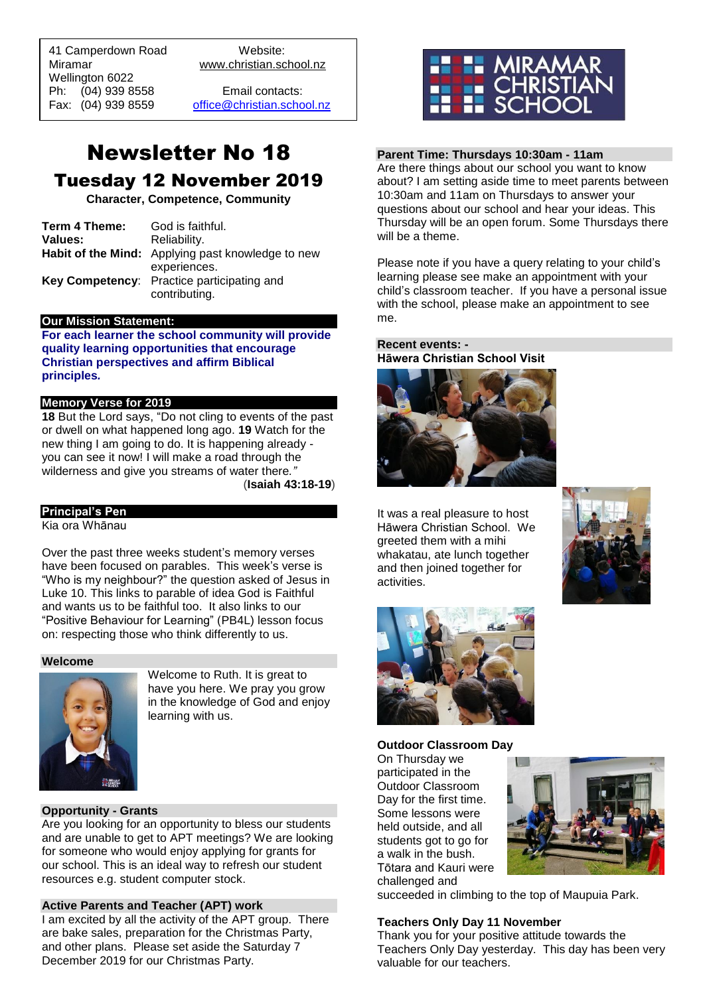41 Camperdown Road Website: Miramar www.christian.school.nz Wellington 6022 Ph: (04) 939 8558 Email contacts:

 $\overline{a}$ 

Fax: (04) 939 8559 [office@christian.school.nz](mailto:office@christian.school.nz)

# Newsletter No 18 Tuesday 12 November 2019

**Character, Competence, Community**

| Term 4 Theme: | God is faithful.                                         |
|---------------|----------------------------------------------------------|
| Values:       | Reliability.                                             |
|               | <b>Habit of the Mind:</b> Applying past knowledge to new |
|               | experiences.                                             |
|               | Key Competency: Practice participating and               |
|               | contributing.                                            |

#### **Our Mission Statement:**

**For each learner the school community will provide quality learning opportunities that encourage Christian perspectives and affirm Biblical principles***.*

## **Memory Verse for 2019**

**18** But the Lord says, "Do not cling to events of the past or dwell on what happened long ago. **19** Watch for the new thing I am going to do. It is happening already you can see it now! I will make a road through the wilderness and give you streams of water there*."*

(**Isaiah 43:18-19**)

# **Principal's Pen**

Kia ora Whānau

Over the past three weeks student's memory verses have been focused on parables. This week's verse is "Who is my neighbour?" the question asked of Jesus in Luke 10. This links to parable of idea God is Faithful and wants us to be faithful too. It also links to our "Positive Behaviour for Learning" (PB4L) lesson focus on: respecting those who think differently to us.

#### **Welcome**



Welcome to Ruth. It is great to have you here. We pray you grow in the knowledge of God and enjoy learning with us.

## **Opportunity - Grants**

Are you looking for an opportunity to bless our students and are unable to get to APT meetings? We are looking for someone who would enjoy applying for grants for our school. This is an ideal way to refresh our student resources e.g. student computer stock.

## **Active Parents and Teacher (APT) work**

I am excited by all the activity of the APT group. There are bake sales, preparation for the Christmas Party, and other plans. Please set aside the Saturday 7 December 2019 for our Christmas Party.



# **Parent Time: Thursdays 10:30am - 11am**

Are there things about our school you want to know about? I am setting aside time to meet parents between 10:30am and 11am on Thursdays to answer your questions about our school and hear your ideas. This Thursday will be an open forum. Some Thursdays there will be a theme.

Please note if you have a query relating to your child's learning please see make an appointment with your child's classroom teacher. If you have a personal issue with the school, please make an appointment to see me.

# **Recent events: - Hāwera Christian School Visit**



It was a real pleasure to host Hāwera Christian School. We greeted them with a mihi whakatau, ate lunch together and then joined together for activities.





#### **Outdoor Classroom Day**

On Thursday we participated in the Outdoor Classroom Day for the first time. Some lessons were held outside, and all students got to go for a walk in the bush. Tōtara and Kauri were challenged and



succeeded in climbing to the top of Maupuia Park.

#### **Teachers Only Day 11 November**

Thank you for your positive attitude towards the Teachers Only Day yesterday. This day has been very valuable for our teachers.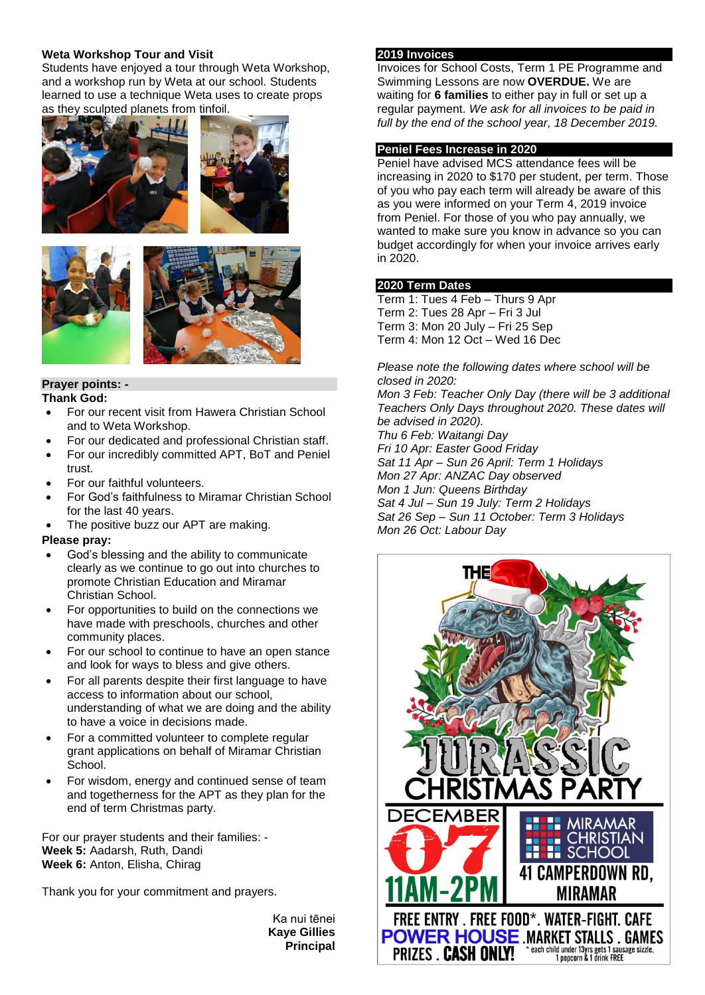# **Weta Workshop Tour and Visit**

Students have enjoyed a tour through Weta Workshop, and a workshop run by Weta at our school. Students learned to use a technique Weta uses to create props as they sculpted planets from tinfoil.







#### **Prayer points: - Thank God:**

- For our recent visit from Hawera Christian School and to Weta Workshop.
- For our dedicated and professional Christian staff.
- For our incredibly committed APT, BoT and Peniel trust.
- For our faithful volunteers.
- For God's faithfulness to Miramar Christian School for the last 40 years.
- The positive buzz our APT are making.

# **Please pray:**

- God's blessing and the ability to communicate clearly as we continue to go out into churches to promote Christian Education and Miramar Christian School.
- For opportunities to build on the connections we have made with preschools, churches and other community places.
- For our school to continue to have an open stance and look for ways to bless and give others.
- For all parents despite their first language to have access to information about our school, understanding of what we are doing and the ability to have a voice in decisions made.
- For a committed volunteer to complete regular grant applications on behalf of Miramar Christian School.
- For wisdom, energy and continued sense of team and togetherness for the APT as they plan for the end of term Christmas party.

For our prayer students and their families: - **Week 5:** Aadarsh, Ruth, Dandi **Week 6:** Anton, Elisha, Chirag

Thank you for your commitment and prayers.

Ka nui tēnei **Kaye Gillies Principal**

#### **2019 Invoices**

Invoices for School Costs, Term 1 PE Programme and Swimming Lessons are now **OVERDUE.** We are waiting for **6 families** to either pay in full or set up a regular payment. *We ask for all invoices to be paid in full by the end of the school year, 18 December 2019.*

# **Peniel Fees Increase in 2020**

Peniel have advised MCS attendance fees will be increasing in 2020 to \$170 per student, per term. Those of you who pay each term will already be aware of this as you were informed on your Term 4, 2019 invoice from Peniel. For those of you who pay annually, we wanted to make sure you know in advance so you can budget accordingly for when your invoice arrives early in 2020.

# **2020 Term Dates**

Term 1: Tues 4 Feb – Thurs 9 Apr Term 2: Tues 28 Apr – Fri 3 Jul Term 3: Mon 20 July – Fri 25 Sep Term 4: Mon 12 Oct – Wed 16 Dec

*Please note the following dates where school will be closed in 2020:*

*Mon 3 Feb: Teacher Only Day (there will be 3 additional Teachers Only Days throughout 2020. These dates will be advised in 2020). Thu 6 Feb: Waitangi Day Fri 10 Apr: Easter Good Friday Sat 11 Apr – Sun 26 April: Term 1 Holidays Mon 27 Apr: ANZAC Day observed*

*Mon 1 Jun: Queens Birthday Sat 4 Jul – Sun 19 July: Term 2 Holidays Sat 26 Sep – Sun 11 October: Term 3 Holidays*

*Mon 26 Oct: Labour Day*

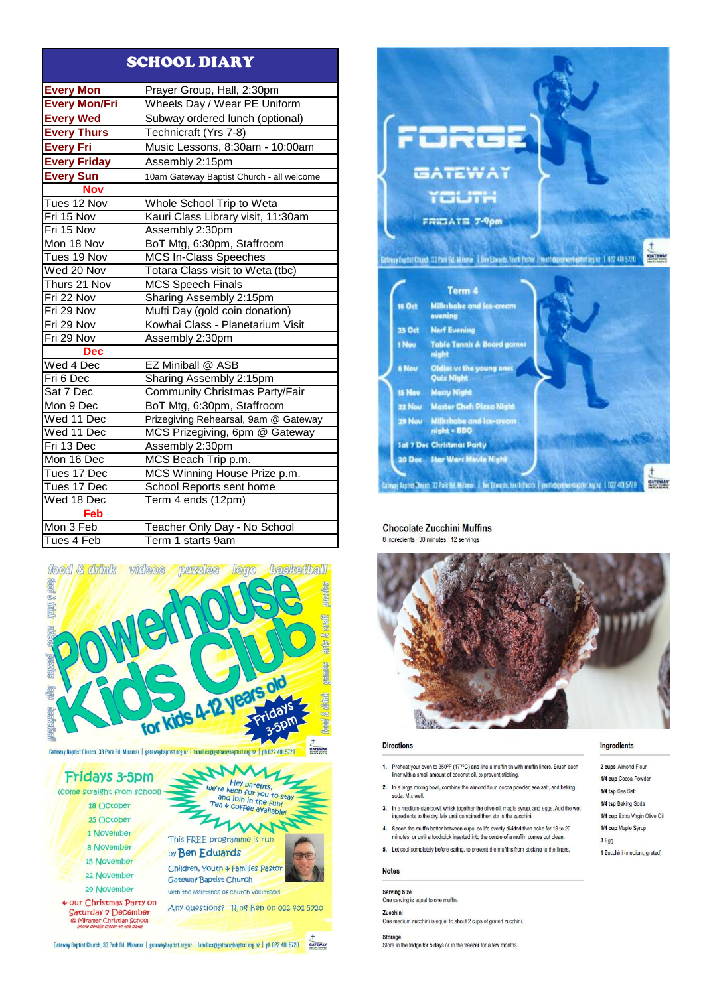# **SCHOOL DIARY**

| <b>Every Mon</b>     | Prayer Group, Hall, 2:30pm                |
|----------------------|-------------------------------------------|
| <b>Every Mon/Fri</b> | Wheels Day / Wear PE Uniform              |
| <b>Every Wed</b>     | Subway ordered lunch (optional)           |
| <b>Every Thurs</b>   | Technicraft (Yrs 7-8)                     |
| <b>Every Fri</b>     | Music Lessons, 8:30am - 10:00am           |
| <b>Every Friday</b>  | Assembly 2:15pm                           |
| <b>Every Sun</b>     | 10am Gateway Baptist Church - all welcome |
| <b>Nov</b>           |                                           |
| Tues 12 Nov          | Whole School Trip to Weta                 |
| Fri 15 Nov           | Kauri Class Library visit, 11:30am        |
| Fri 15 Nov           | Assembly 2:30pm                           |
| Mon 18 Nov           | BoT Mtg, 6:30pm, Staffroom                |
| Tues 19 Nov          | <b>MCS In-Class Speeches</b>              |
| Wed 20 Nov           | Totara Class visit to Weta (tbc)          |
| Thurs 21 Nov         | <b>MCS Speech Finals</b>                  |
| Fri 22 Nov           | Sharing Assembly 2:15pm                   |
| Fri 29 Nov           | Mufti Day (gold coin donation)            |
| Fri 29 Nov           | Kowhai Class - Planetarium Visit          |
| Fri 29 Nov           | Assembly 2:30pm                           |
| <b>Dec</b>           |                                           |
| Wed 4 Dec            | EZ Miniball @ ASB                         |
| Fri 6 Dec            | Sharing Assembly 2:15pm                   |
| Sat 7 Dec            | <b>Community Christmas Party/Fair</b>     |
| Mon 9 Dec            | BoT Mtg, 6:30pm, Staffroom                |
| Wed 11 Dec           | Prizegiving Rehearsal, 9am @ Gateway      |
| Wed 11 Dec           | MCS Prizegiving, 6pm @ Gateway            |
| Fri 13 Dec           | Assembly 2:30pm                           |
| Mon 16 Dec           | MCS Beach Trip p.m.                       |
| Tues 17 Dec          | MCS Winning House Prize p.m.              |
| Tues 17 Dec          | School Reports sent home                  |
| Wed 18 Dec           | Term 4 ends (12pm)                        |
| Feb                  |                                           |
| Mon 3 Feb            | Teacher Only Day - No School              |
| Tues 4 Feb           | Term 1 starts 9am                         |



**GATEWAY** Gateway Baptist Church, 33 Park Rd, Miramar | gatewaybaptist.org.nz | families@gatewaybaptist.org.nz | ph 022 401 5720







#### **Chocolate Zucchini Muffins** 8 ingredients · 30 minutes · 12 servings



#### **Directions**

- 1. Preheat your oven to 350°F (177°C) and line a muffin tin with muffin liners. Brush each liner with a small amount of coconut oil, to prevent sticking.
- 2. In a large mixing bowl, combine the almond flour, cocoa powder, sea salt, and baking soda, Mix well.
- 3. In a medium-size bowl, whisk together the olive oil, maple syrup, and eggs. Add the wet ingredients to the dry. Mix until combined then stir in the zucc
- 4. Spoon the muffin batter between cups, so it's evenly divided then bake for 18 to 20 minutes, or until a toothpick inserted into the centre of a muffin comes out clean
- 5. Let cool completely before eating, to prevent the muffins from sticking to the liners.

#### **Notes**

**Serving Size** One serving is equal to one muffin. Zucchini One medium zucchini is equal to about 2 cups of grated zucchini.

Storage<br>Store in the fridge for 5 days or in the freezer for a few months.

#### Ingredients

2 cups Almond Flour 1/4 cup Cocoa Powder 1/4 tsp Sea Salt 1/4 tsp Baking Soda 1/4 cup Extra Virgin Olive Oil 1/4 cup Maple Syrup 3 Egg 1 Zucchini (medium, grated)